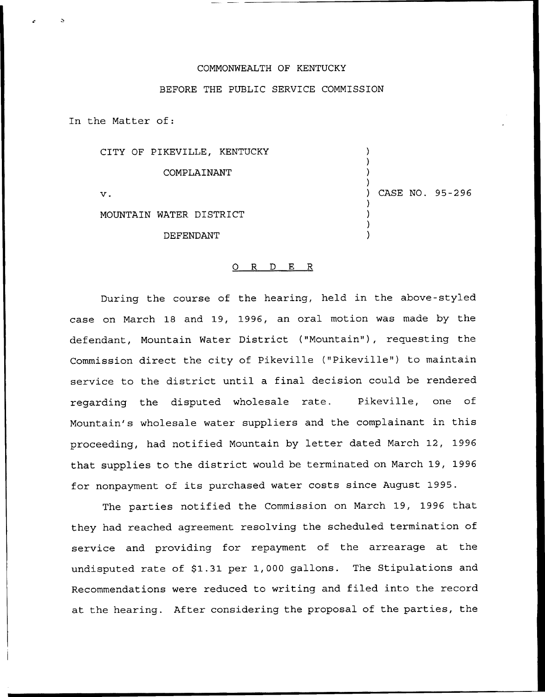## COMMONWEALTH OF KENTUCKY

## BEFORE THE PUBLIC SERVICE COMMISSION

In the Matter of:

| CITY OF PIKEVILLE, KENTUCKY |                 |
|-----------------------------|-----------------|
| COMPLAINANT                 |                 |
| $\mathbf v$ .               | CASE NO. 95-296 |
| MOUNTAIN WATER DISTRICT     |                 |
| DEFENDANT                   |                 |

## 0 R <sup>D</sup> E R

During the course of the hearing, held in the above-styled case on March 18 and 19, 1996, an oral motion was made by the defendant, Mountain Water District ("Mountain"), requesting the Commission direct the city of Pikeville ("Pikeville") to maintain service to the district until a final decision could be rendered regarding the disputed wholesale rate. Pikeville, one of Mountain's wholesale water suppliers and the complainant in this proceeding, had notified Mountain by letter dated March 12, 1996 that supplies to the district would be terminated on March 19, 1996 for nonpayment of its purchased water costs since August 1995.

The parties notified the Commission on March 19, 1996 that they had reached agreement resolving the scheduled termination of service and providing for repayment of the arrearage at the undisputed rate of \$1.31 per 1,000 gallons. The Stipulations and Recommendations were reduced to writing and filed into the record at the hearing. After considering the proposal of the parties, the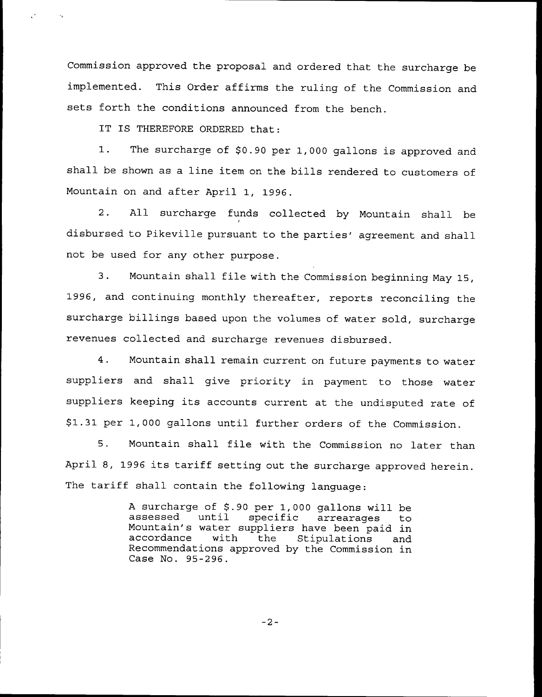Commission approved the proposal and ordered that the surcharge be implemented. This Order affirms the ruling of the Commission and sets forth the conditions announced from the bench.

IT IS THEREFORE ORDERED that:

 $\mathcal{E}^{(n)}$ 

 $\sim$   $\sim$ 

1. The surcharge of \$0.90 per 1,000 gallons is approved and shall be shown as <sup>a</sup> line item on the bills rendered to customers of Mountain on and after April 1, 1996.

2. All surcharge funds collected by Mountain shall be disbursed to Pikeville pursuant to the parties' agreement and shall not be used for any other purpose.

3. Mountain shall file with the Commission beginning May 15, 1996, and continuing monthly thereafter, reports reconciling the surcharge billings based upon the volumes of water sold, surcharge revenues collected and surcharge revenues disbursed.

4. Mountain shall remain current on future payments to water suppliers and shall give priority in payment to those water suppliers keeping its accounts current at the undisputed rate of \$ 1.31 per 1,000 gallons until further orders of the Commission.

5. Mountain shall file with the Commission no later than April 8, 1996 its tariff setting out the surcharge approved herein. The tariff shall contain the following language:

> A surcharge of \$.90 per 1,000 gallons will be<br>assessed until specific arrearages to Mountain's water suppliers have been paid in<br>accordance with the Stipulations and Stipulations Recommendations approved by the Commission in Case No. 95-296.

> > $-2-$